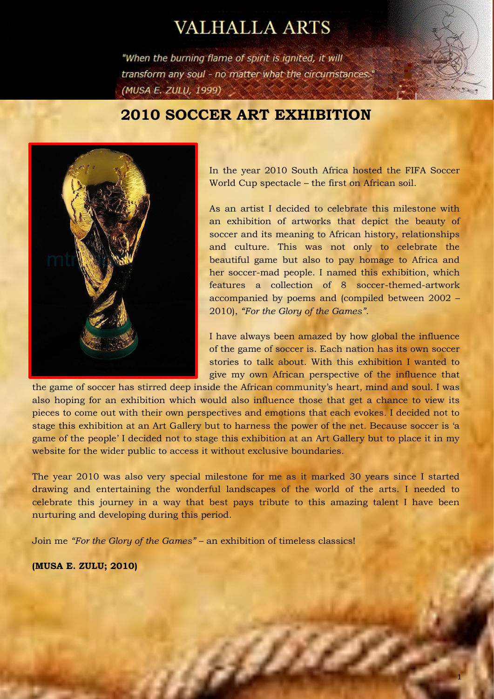# **VALHALLA ARTS**

"When the burning flame of spirit is ignited, it will transform any soul - no matter what the circumstances." (MUSA E. ZULU, 1999)

# **2010 SOCCER ART EXHIBITION**



In the year 2010 South Africa hosted the FIFA Soccer World Cup spectacle – the first on African soil.

As an artist I decided to celebrate this milestone with an exhibition of artworks that depict the beauty of soccer and its meaning to African history, relationships and culture. This was not only to celebrate the beautiful game but also to pay homage to Africa and her soccer-mad people. I named this exhibition, which features a collection of 8 soccer-themed-artwork accompanied by poems and (compiled between 2002 – 2010), *"For the Glory of the Games"*.

I have always been amazed by how global the influence of the game of soccer is. Each nation has its own soccer stories to talk about. With this exhibition I wanted to give my own African perspective of the influence that

the game of soccer has stirred deep inside the African community's heart, mind and soul. I was also hoping for an exhibition which would also influence those that get a chance to view its pieces to come out with their own perspectives and emotions that each evokes. I decided not to stage this exhibition at an Art Gallery but to harness the power of the net. Because soccer is 'a game of the people' I decided not to stage this exhibition at an Art Gallery but to place it in my website for the wider public to access it without exclusive boundaries.

The year 2010 was also very special milestone for me as it marked 30 years since I started drawing and entertaining the wonderful landscapes of the world of the arts. I needed to celebrate this journey in a way that best pays tribute to this amazing talent I have been nurturing and developing during this period.

a

Join me *"For the Glory of the Games"* – an exhibition of timeless classics!

**(MUSA E. ZULU; 2010)**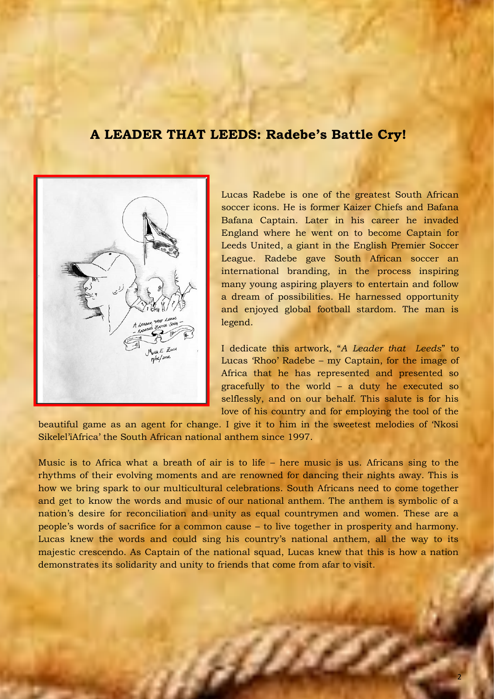# **A LEADER THAT LEEDS: Radebe's Battle Cry!**



Lucas Radebe is one of the greatest South African soccer icons. He is former Kaizer Chiefs and Bafana Bafana Captain. Later in his career he invaded England where he went on to become Captain for Leeds United, a giant in the English Premier Soccer League. Radebe gave South African soccer an international branding, in the process inspiring many young aspiring players to entertain and follow a dream of possibilities. He harnessed opportunity and enjoyed global football stardom. The man is legend.

I dedicate this artwork, "*A Leader that Leeds*" to Lucas 'Rhoo' Radebe – my Captain, for the image of Africa that he has represented and presented so gracefully to the world – a duty he executed so selflessly, and on our behalf. This salute is for his love of his country and for employing the tool of the

beautiful game as an agent for change. I give it to him in the sweetest melodies of 'Nkosi Sikelel'iAfrica' the South African national anthem since 1997.

Music is to Africa what a breath of air is to life – here music is us. Africans sing to the rhythms of their evolving moments and are renowned for dancing their nights away. This is how we bring spark to our multicultural celebrations. South Africans need to come together and get to know the words and music of our national anthem. The anthem is symbolic of a nation's desire for reconciliation and unity as equal countrymen and women. These are a people's words of sacrifice for a common cause – to live together in prosperity and harmony. Lucas knew the words and could sing his country's national anthem, all the way to its majestic crescendo. As Captain of the national squad, Lucas knew that this is how a nation demonstrates its solidarity and unity to friends that come from afar to visit.

a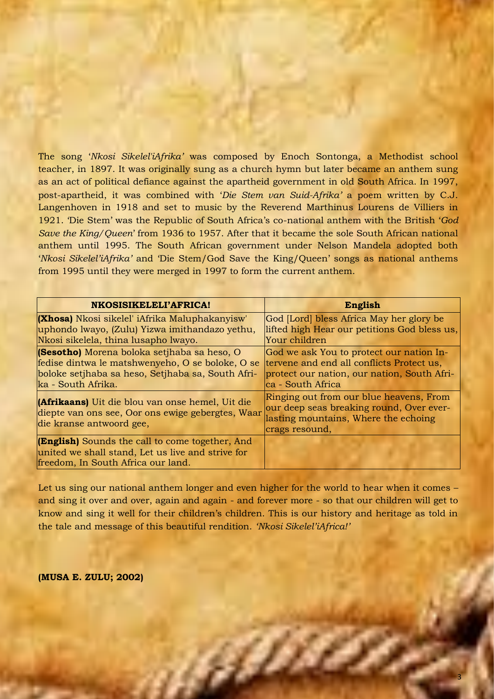The song '*Nkosi Sikelel'iAfrika'* was composed by Enoch Sontonga, a Methodist school teacher, in 1897. It was originally sung as a church hymn but later became an anthem sung as an act of political defiance against the apartheid government in old South Africa. In 1997, post-apartheid, it was combined with '*Die Stem van Suid-Afrika'* a poem written by C.J. Langenhoven in 1918 and set to music by the Reverend Marthinus Lourens de Villiers in 1921. 'Die Stem' was the Republic of South Africa's co-national anthem with the British '*God Save the King/Queen*' from 1936 to 1957. After that it became the sole South African national anthem until 1995. The South African government under Nelson Mandela adopted both '*Nkosi Sikelel'iAfrika'* and 'Die Stem/God Save the King/Queen' songs as national anthems from 1995 until they were merged in 1997 to form the current anthem.

| NKOSISIKELELI'AFRICA!                                                                                                                                                      | <b>English</b>                                                                                                                                            |
|----------------------------------------------------------------------------------------------------------------------------------------------------------------------------|-----------------------------------------------------------------------------------------------------------------------------------------------------------|
| <b>(Xhosa)</b> Nkosi sikelel' iAfrika Maluphakanyisw'<br>uphondo lwayo, (Zulu) Yizwa imithandazo yethu,<br>Nkosi sikelela, thina lusapho lwayo.                            | God [Lord] bless Africa May her glory be<br>lifted high Hear our petitions God bless us,<br>Your children                                                 |
| (Sesotho) Morena boloka setjhaba sa heso, O<br>fedise dintwa le matshwenyeho, O se boloke, O se<br>boloke setjhaba sa heso, Setjhaba sa, South Afri-<br>ka - South Afrika. | God we ask You to protect our nation In-<br>tervene and end all conflicts Protect us,<br>protect our nation, our nation, South Afri-<br>ca - South Africa |
| <b>(Afrikaans)</b> Uit die blou van onse hemel, Uit die<br>diepte van ons see, Oor ons ewige gebergtes, Waar<br>die kranse antwoord gee,                                   | Ringing out from our blue heavens, From<br>our deep seas breaking round, Over ever-<br>lasting mountains, Where the echoing<br>crags resound,             |
| <b>(English)</b> Sounds the call to come together, And<br>united we shall stand, Let us live and strive for<br>freedom, In South Africa our land.                          |                                                                                                                                                           |

Let us sing our national anthem longer and even higher for the world to hear when it comes – and sing it over and over, again and again - and forever more - so that our children will get to know and sing it well for their children's children. This is our history and heritage as told in the tale and message of this beautiful rendition. *'Nkosi Sikelel'iAfrica!'*

a Ma

**(MUSA E. ZULU; 2002)**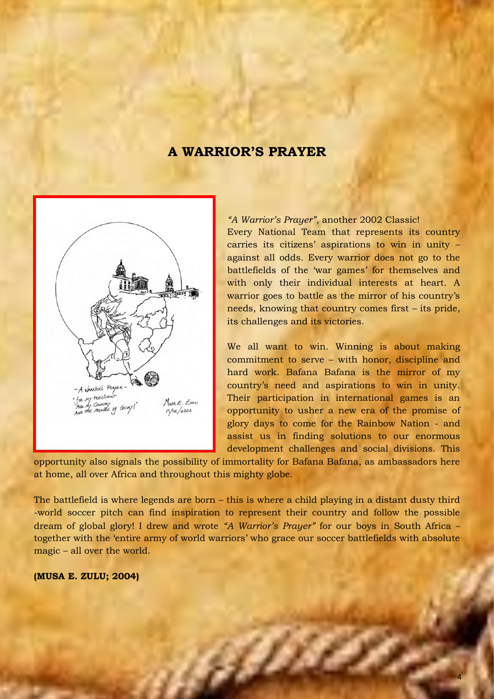# **A WARRIOR'S PRAYER**



*"A Warrior's Prayer"*, another 2002 Classic! Every National Team that represents its country carries its citizens' aspirations to win in unity – against all odds. Every warrior does not go to the battlefields of the 'war games' for themselves and with only their individual interests at heart. A warrior goes to battle as the mirror of his country's needs, knowing that country comes first – its pride, its challenges and its victories.

We all want to win. Winning is about making commitment to serve – with honor, discipline and hard work. Bafana Bafana is the mirror of my country's need and aspirations to win in unity. Their participation in international games is an opportunity to usher a new era of the promise of glory days to come for the Rainbow Nation - and assist us in finding solutions to our enormous development challenges and social divisions. This

opportunity also signals the possibility of immortality for Bafana Bafana, as ambassadors here at home, all over Africa and throughout this mighty globe.

The battlefield is where legends are born – this is where a child playing in a distant dusty third -world soccer pitch can find inspiration to represent their country and follow the possible dream of global glory! I drew and wrote *"A Warrior's Prayer"* for our boys in South Africa – together with the 'entire army of world warriors' who grace our soccer battlefields with absolute magic – all over the world.

a

#### **(MUSA E. ZULU; 2004)**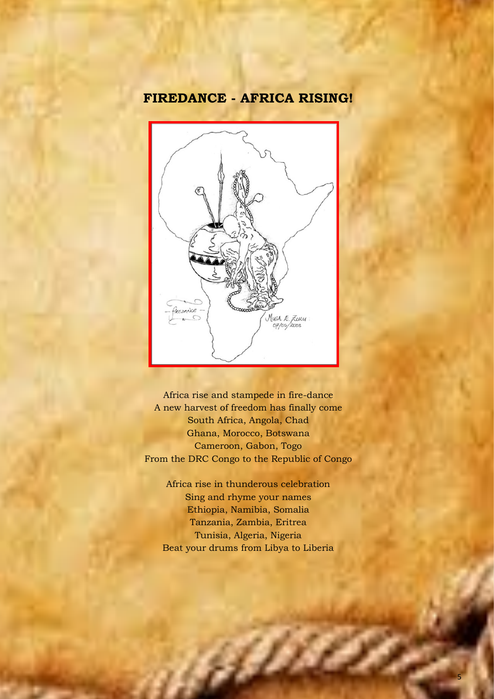# **FIREDANCE - AFRICA RISING!**



Africa rise and stampede in fire-dance A new harvest of freedom has finally come South Africa, Angola, Chad Ghana, Morocco, Botswana Cameroon, Gabon, Togo From the DRC Congo to the Republic of Congo

Africa rise in thunderous celebration Sing and rhyme your names Ethiopia, Namibia, Somalia Tanzania, Zambia, Eritrea Tunisia, Algeria, Nigeria Beat your drums from Libya to Liberia

g Die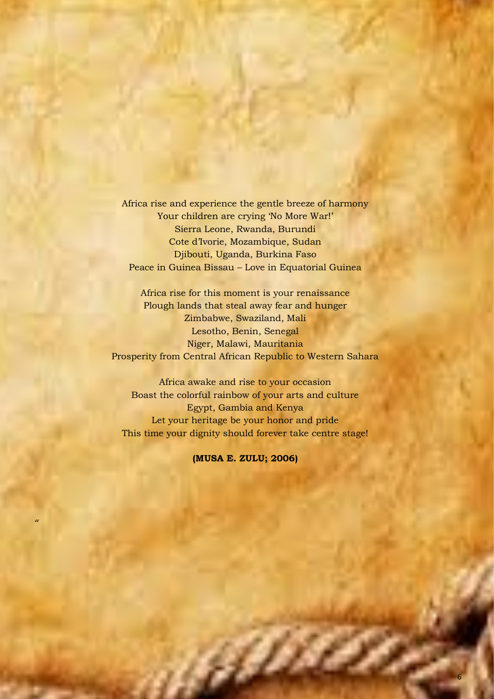Africa rise and experience the gentle breeze of harmony Your children are crying 'No More War!' Sierra Leone, Rwanda, Burundi Cote d'Ivorie, Mozambique, Sudan Djibouti, Uganda, Burkina Faso Peace in Guinea Bissau – Love in Equatorial Guinea

Africa rise for this moment is your renaissance Plough lands that steal away fear and hunger Zimbabwe, Swaziland, Mali Lesotho, Benin, Senegal Niger, Malawi, Mauritania Prosperity from Central African Republic to Western Sahara

Africa awake and rise to your occasion Boast the colorful rainbow of your arts and culture Egypt, Gambia and Kenya Let your heritage be your honor and pride This time your dignity should forever take centre stage!

**(MUSA E. ZULU; 2006)**

, princes.

*"*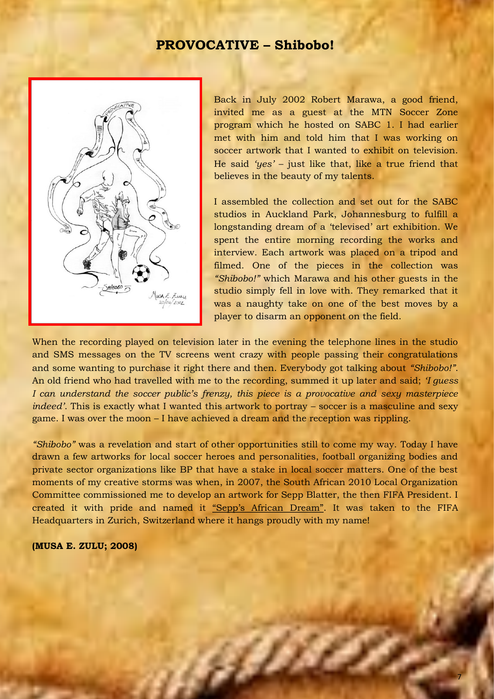### **PROVOCATIVE – Shibobo!**



Back in July 2002 Robert Marawa, a good friend, invited me as a guest at the MTN Soccer Zone program which he hosted on SABC 1. I had earlier met with him and told him that I was working on soccer artwork that I wanted to exhibit on television. He said *'yes'* – just like that, like a true friend that believes in the beauty of my talents.

I assembled the collection and set out for the SABC studios in Auckland Park, Johannesburg to fulfill a longstanding dream of a 'televised' art exhibition. We spent the entire morning recording the works and interview. Each artwork was placed on a tripod and filmed. One of the pieces in the collection was *"Shibobo!"* which Marawa and his other guests in the studio simply fell in love with. They remarked that it was a naughty take on one of the best moves by a player to disarm an opponent on the field.

When the recording played on television later in the evening the telephone lines in the studio and SMS messages on the TV screens went crazy with people passing their congratulations and some wanting to purchase it right there and then. Everybody got talking about *"Shibobo!"*. An old friend who had travelled with me to the recording, summed it up later and said; *'I guess I can understand the soccer public's frenzy, this piece is a provocative and sexy masterpiece indeed'*. This is exactly what I wanted this artwork to portray – soccer is a masculine and sexy game. I was over the moon – I have achieved a dream and the reception was rippling.

*"Shibobo"* was a revelation and start of other opportunities still to come my way. Today I have drawn a few artworks for local soccer heroes and personalities, football organizing bodies and private sector organizations like BP that have a stake in local soccer matters. One of the best moments of my creative storms was when, in 2007, the South African 2010 Local Organization Committee commissioned me to develop an artwork for Sepp Blatter, the then FIFA President. I created it with pride and named it "Sepp's African Dream". It was taken to the FIFA Headquarters in Zurich, Switzerland where it hangs proudly with my name!

a

#### **(MUSA E. ZULU; 2008)**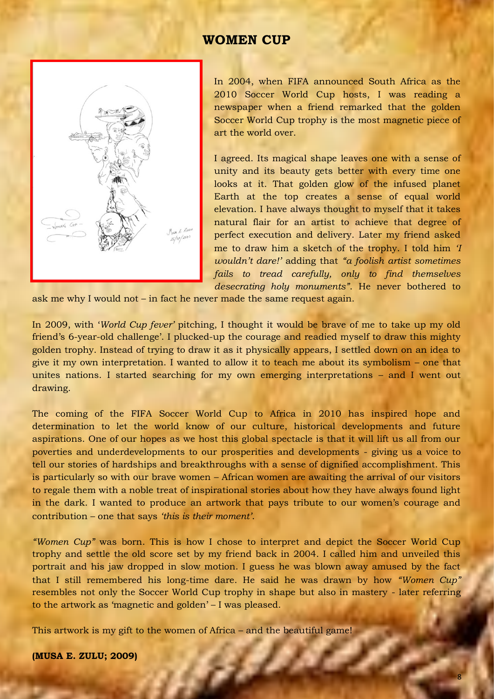### **WOMEN CUP**



In 2004, when FIFA announced South Africa as the 2010 Soccer World Cup hosts, I was reading a newspaper when a friend remarked that the golden Soccer World Cup trophy is the most magnetic piece of art the world over.

I agreed. Its magical shape leaves one with a sense of unity and its beauty gets better with every time one looks at it. That golden glow of the infused planet Earth at the top creates a sense of equal world elevation. I have always thought to myself that it takes natural flair for an artist to achieve that degree of perfect execution and delivery. Later my friend asked me to draw him a sketch of the trophy. I told him *'I wouldn't dare!'* adding that *"a foolish artist sometimes fails to tread carefully, only to find themselves desecrating holy monuments"*. He never bothered to

ask me why I would not – in fact he never made the same request again.

In 2009, with '*World Cup fever'* pitching, I thought it would be brave of me to take up my old friend's 6-year-old challenge'. I plucked-up the courage and readied myself to draw this mighty golden trophy. Instead of trying to draw it as it physically appears, I settled down on an idea to give it my own interpretation. I wanted to allow it to teach me about its symbolism – one that unites nations. I started searching for my own emerging interpretations – and I went out drawing.

The coming of the FIFA Soccer World Cup to Africa in 2010 has inspired hope and determination to let the world know of our culture, historical developments and future aspirations. One of our hopes as we host this global spectacle is that it will lift us all from our poverties and underdevelopments to our prosperities and developments - giving us a voice to tell our stories of hardships and breakthroughs with a sense of dignified accomplishment. This is particularly so with our brave women – African women are awaiting the arrival of our visitors to regale them with a noble treat of inspirational stories about how they have always found light in the dark. I wanted to produce an artwork that pays tribute to our women's courage and contribution – one that says *'this is their moment'*.

*"Women Cup"* was born. This is how I chose to interpret and depict the Soccer World Cup trophy and settle the old score set by my friend back in 2004. I called him and unveiled this portrait and his jaw dropped in slow motion. I guess he was blown away amused by the fact that I still remembered his long-time dare. He said he was drawn by how *"Women Cup"* resembles not only the Soccer World Cup trophy in shape but also in mastery - later referring to the artwork as 'magnetic and golden' – I was pleased.

a s

This artwork is my gift to the women of Africa – and the beautiful game!

**(MUSA E. ZULU; 2009)**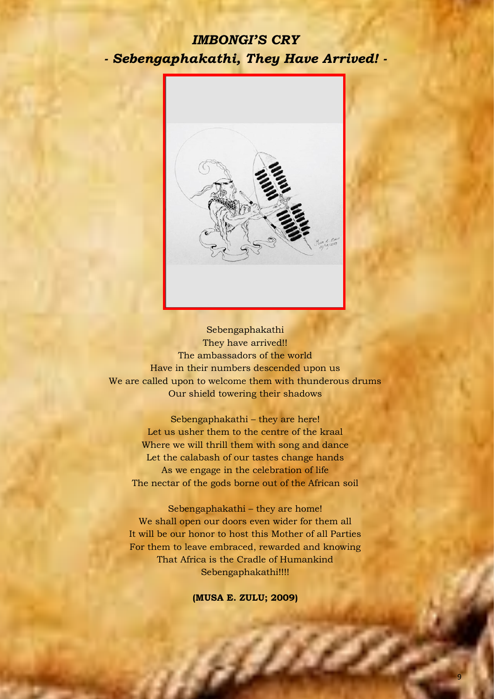# *IMBONGI'S CRY - Sebengaphakathi, They Have Arrived! -*



Sebengaphakathi They have arrived!! The ambassadors of the world Have in their numbers descended upon us We are called upon to welcome them with thunderous drums Our shield towering their shadows

Sebengaphakathi – they are here! Let us usher them to the centre of the kraal Where we will thrill them with song and dance Let the calabash of our tastes change hands As we engage in the celebration of life The nectar of the gods borne out of the African soil

Sebengaphakathi – they are home! We shall open our doors even wider for them all It will be our honor to host this Mother of all Parties For them to leave embraced, rewarded and knowing That Africa is the Cradle of Humankind Sebengaphakathi!!!!

**(MUSA E. ZULU; 2009)**

affin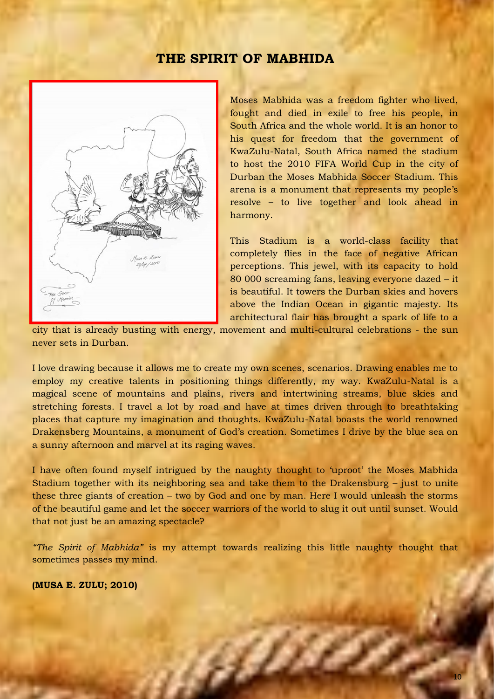### **THE SPIRIT OF MABHIDA**



Moses Mabhida was a freedom fighter who lived, fought and died in exile to free his people, in South Africa and the whole world. It is an honor to his quest for freedom that the government of KwaZulu-Natal, South Africa named the stadium to host the 2010 FIFA World Cup in the city of Durban the Moses Mabhida Soccer Stadium. This arena is a monument that represents my people's resolve – to live together and look ahead in harmony.

This Stadium is a world-class facility that completely flies in the face of negative African perceptions. This jewel, with its capacity to hold 80 000 screaming fans, leaving everyone dazed – it is beautiful. It towers the Durban skies and hovers above the Indian Ocean in gigantic majesty. Its architectural flair has brought a spark of life to a

city that is already busting with energy, movement and multi-cultural celebrations - the sun never sets in Durban.

I love drawing because it allows me to create my own scenes, scenarios. Drawing enables me to employ my creative talents in positioning things differently, my way. KwaZulu-Natal is a magical scene of mountains and plains, rivers and intertwining streams, blue skies and stretching forests. I travel a lot by road and have at times driven through to breathtaking places that capture my imagination and thoughts. KwaZulu-Natal boasts the world renowned Drakensberg Mountains, a monument of God's creation. Sometimes I drive by the blue sea on a sunny afternoon and marvel at its raging waves.

I have often found myself intrigued by the naughty thought to 'uproot' the Moses Mabhida Stadium together with its neighboring sea and take them to the Drakensburg – just to unite these three giants of creation – two by God and one by man. Here I would unleash the storms of the beautiful game and let the soccer warriors of the world to slug it out until sunset. Would that not just be an amazing spectacle?

*"The Spirit of Mabhida"* is my attempt towards realizing this little naughty thought that sometimes passes my mind.

a

#### **(MUSA E. ZULU; 2010)**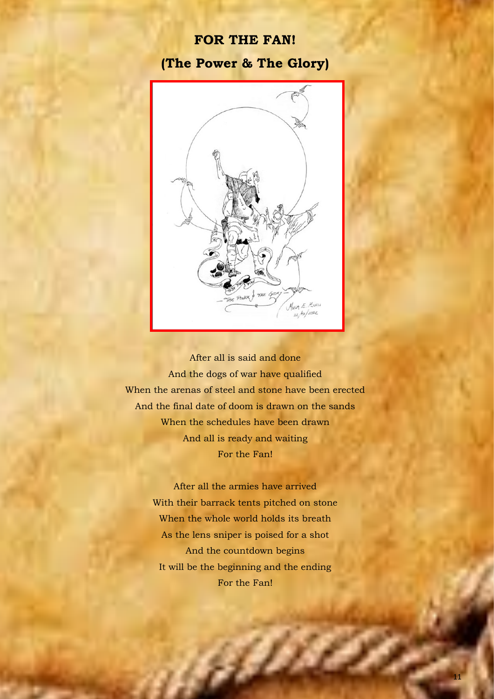### **FOR THE FAN!**

### **(The Power & The Glory)**



After all is said and done And the dogs of war have qualified When the arenas of steel and stone have been erected And the final date of doom is drawn on the sands When the schedules have been drawn And all is ready and waiting For the Fan!

> After all the armies have arrived With their barrack tents pitched on stone When the whole world holds its breath As the lens sniper is poised for a shot And the countdown begins It will be the beginning and the ending For the Fan!

> > effin